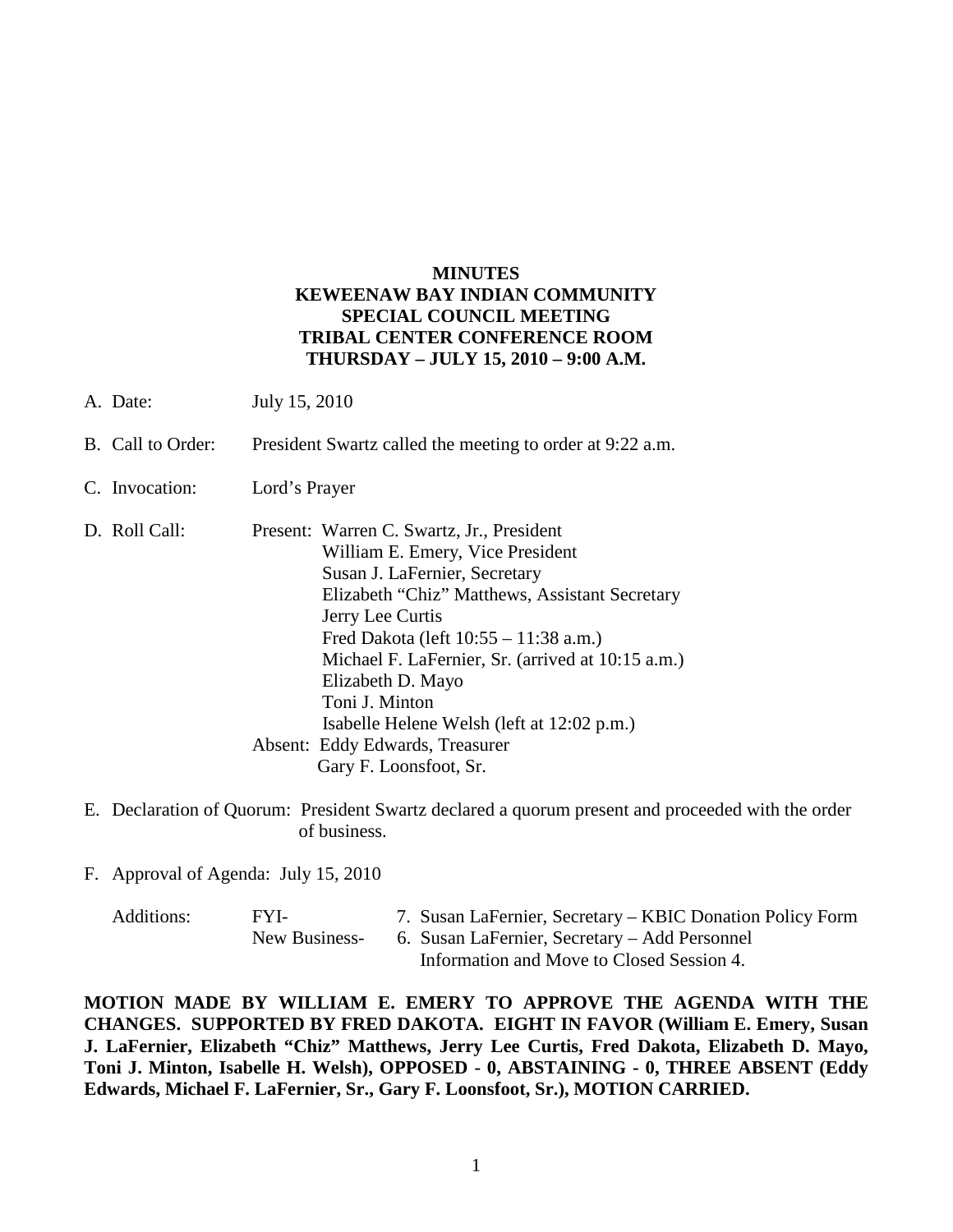## **MINUTES KEWEENAW BAY INDIAN COMMUNITY SPECIAL COUNCIL MEETING TRIBAL CENTER CONFERENCE ROOM THURSDAY – JULY 15, 2010 – 9:00 A.M.**

- A. Date: July 15, 2010
- B. Call to Order: President Swartz called the meeting to order at 9:22 a.m.
- C. Invocation: Lord's Prayer
- D. Roll Call: Present: Warren C. Swartz, Jr., President William E. Emery, Vice President Susan J. LaFernier, Secretary Elizabeth "Chiz" Matthews, Assistant Secretary Jerry Lee Curtis Fred Dakota (left 10:55 – 11:38 a.m.) Michael F. LaFernier, Sr. (arrived at 10:15 a.m.) Elizabeth D. Mayo Toni J. Minton Isabelle Helene Welsh (left at 12:02 p.m.) Absent: Eddy Edwards, Treasurer Gary F. Loonsfoot, Sr.
- E. Declaration of Quorum: President Swartz declared a quorum present and proceeded with the order of business.
- F. Approval of Agenda: July 15, 2010

| Additions: | FYL-          | 7. Susan LaFernier, Secretary – KBIC Donation Policy Form |
|------------|---------------|-----------------------------------------------------------|
|            | New Business- | 6. Susan LaFernier, Secretary – Add Personnel             |
|            |               | Information and Move to Closed Session 4.                 |

**MOTION MADE BY WILLIAM E. EMERY TO APPROVE THE AGENDA WITH THE CHANGES. SUPPORTED BY FRED DAKOTA. EIGHT IN FAVOR (William E. Emery, Susan J. LaFernier, Elizabeth "Chiz" Matthews, Jerry Lee Curtis, Fred Dakota, Elizabeth D. Mayo, Toni J. Minton, Isabelle H. Welsh), OPPOSED - 0, ABSTAINING - 0, THREE ABSENT (Eddy Edwards, Michael F. LaFernier, Sr., Gary F. Loonsfoot, Sr.), MOTION CARRIED.**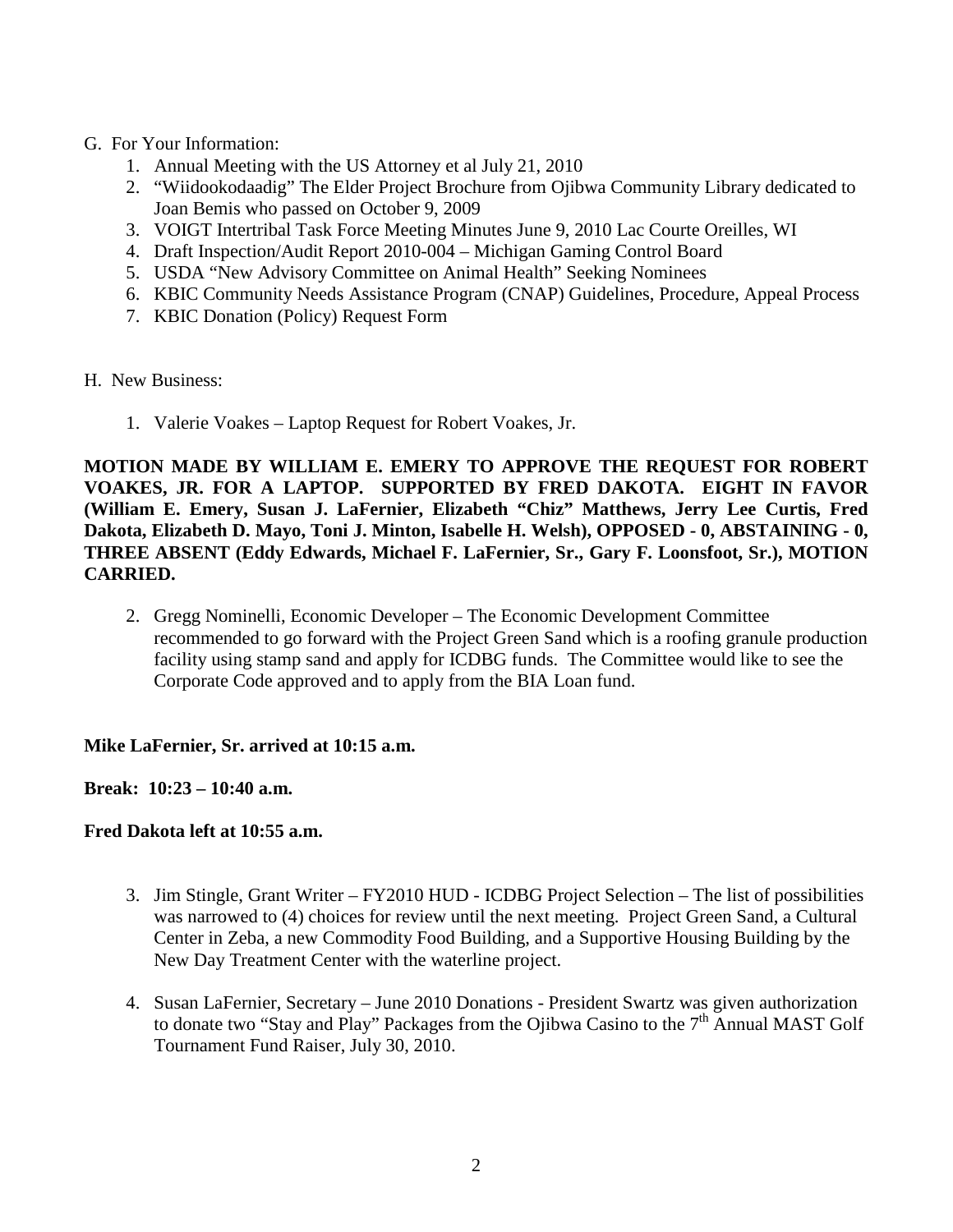- G. For Your Information:
	- 1. Annual Meeting with the US Attorney et al July 21, 2010
	- 2. "Wiidookodaadig" The Elder Project Brochure from Ojibwa Community Library dedicated to Joan Bemis who passed on October 9, 2009
	- 3. VOIGT Intertribal Task Force Meeting Minutes June 9, 2010 Lac Courte Oreilles, WI
	- 4. Draft Inspection/Audit Report 2010-004 Michigan Gaming Control Board
	- 5. USDA "New Advisory Committee on Animal Health" Seeking Nominees
	- 6. KBIC Community Needs Assistance Program (CNAP) Guidelines, Procedure, Appeal Process
	- 7. KBIC Donation (Policy) Request Form
- H. New Business:
	- 1. Valerie Voakes Laptop Request for Robert Voakes, Jr.

**MOTION MADE BY WILLIAM E. EMERY TO APPROVE THE REQUEST FOR ROBERT VOAKES, JR. FOR A LAPTOP. SUPPORTED BY FRED DAKOTA. EIGHT IN FAVOR (William E. Emery, Susan J. LaFernier, Elizabeth "Chiz" Matthews, Jerry Lee Curtis, Fred Dakota, Elizabeth D. Mayo, Toni J. Minton, Isabelle H. Welsh), OPPOSED - 0, ABSTAINING - 0, THREE ABSENT (Eddy Edwards, Michael F. LaFernier, Sr., Gary F. Loonsfoot, Sr.), MOTION CARRIED.**

2. Gregg Nominelli, Economic Developer – The Economic Development Committee recommended to go forward with the Project Green Sand which is a roofing granule production facility using stamp sand and apply for ICDBG funds. The Committee would like to see the Corporate Code approved and to apply from the BIA Loan fund.

# **Mike LaFernier, Sr. arrived at 10:15 a.m.**

**Break: 10:23 – 10:40 a.m.** 

### **Fred Dakota left at 10:55 a.m.**

- 3. Jim Stingle, Grant Writer FY2010 HUD ICDBG Project Selection The list of possibilities was narrowed to (4) choices for review until the next meeting. Project Green Sand, a Cultural Center in Zeba, a new Commodity Food Building, and a Supportive Housing Building by the New Day Treatment Center with the waterline project.
- 4. Susan LaFernier, Secretary June 2010 Donations President Swartz was given authorization to donate two "Stay and Play" Packages from the Ojibwa Casino to the  $7<sup>th</sup>$  Annual MAST Golf Tournament Fund Raiser, July 30, 2010.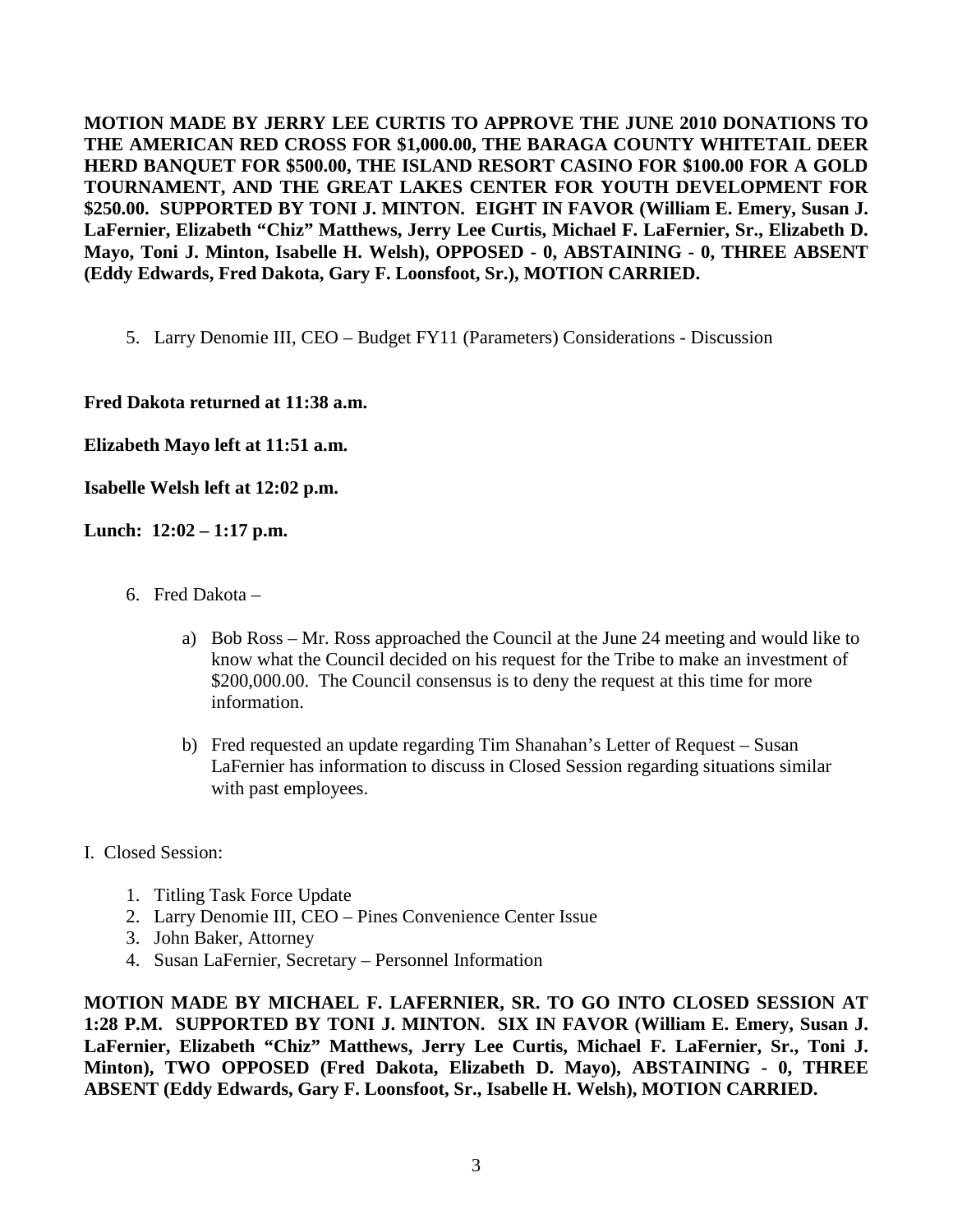**MOTION MADE BY JERRY LEE CURTIS TO APPROVE THE JUNE 2010 DONATIONS TO THE AMERICAN RED CROSS FOR \$1,000.00, THE BARAGA COUNTY WHITETAIL DEER HERD BANQUET FOR \$500.00, THE ISLAND RESORT CASINO FOR \$100.00 FOR A GOLD TOURNAMENT, AND THE GREAT LAKES CENTER FOR YOUTH DEVELOPMENT FOR \$250.00. SUPPORTED BY TONI J. MINTON. EIGHT IN FAVOR (William E. Emery, Susan J. LaFernier, Elizabeth "Chiz" Matthews, Jerry Lee Curtis, Michael F. LaFernier, Sr., Elizabeth D. Mayo, Toni J. Minton, Isabelle H. Welsh), OPPOSED - 0, ABSTAINING - 0, THREE ABSENT (Eddy Edwards, Fred Dakota, Gary F. Loonsfoot, Sr.), MOTION CARRIED.** 

5. Larry Denomie III, CEO – Budget FY11 (Parameters) Considerations - Discussion

**Fred Dakota returned at 11:38 a.m.** 

**Elizabeth Mayo left at 11:51 a.m.** 

**Isabelle Welsh left at 12:02 p.m.** 

**Lunch: 12:02 – 1:17 p.m.** 

- 6. Fred Dakota
	- a) Bob Ross Mr. Ross approached the Council at the June 24 meeting and would like to know what the Council decided on his request for the Tribe to make an investment of \$200,000.00. The Council consensus is to deny the request at this time for more information.
	- b) Fred requested an update regarding Tim Shanahan's Letter of Request Susan LaFernier has information to discuss in Closed Session regarding situations similar with past employees.
- I. Closed Session:
	- 1. Titling Task Force Update
	- 2. Larry Denomie III, CEO Pines Convenience Center Issue
	- 3. John Baker, Attorney
	- 4. Susan LaFernier, Secretary Personnel Information

**MOTION MADE BY MICHAEL F. LAFERNIER, SR. TO GO INTO CLOSED SESSION AT 1:28 P.M. SUPPORTED BY TONI J. MINTON. SIX IN FAVOR (William E. Emery, Susan J.**  LaFernier, Elizabeth "Chiz" Matthews, Jerry Lee Curtis, Michael F. LaFernier, Sr., Toni J. **Minton), TWO OPPOSED (Fred Dakota, Elizabeth D. Mayo), ABSTAINING - 0, THREE ABSENT (Eddy Edwards, Gary F. Loonsfoot, Sr., Isabelle H. Welsh), MOTION CARRIED.**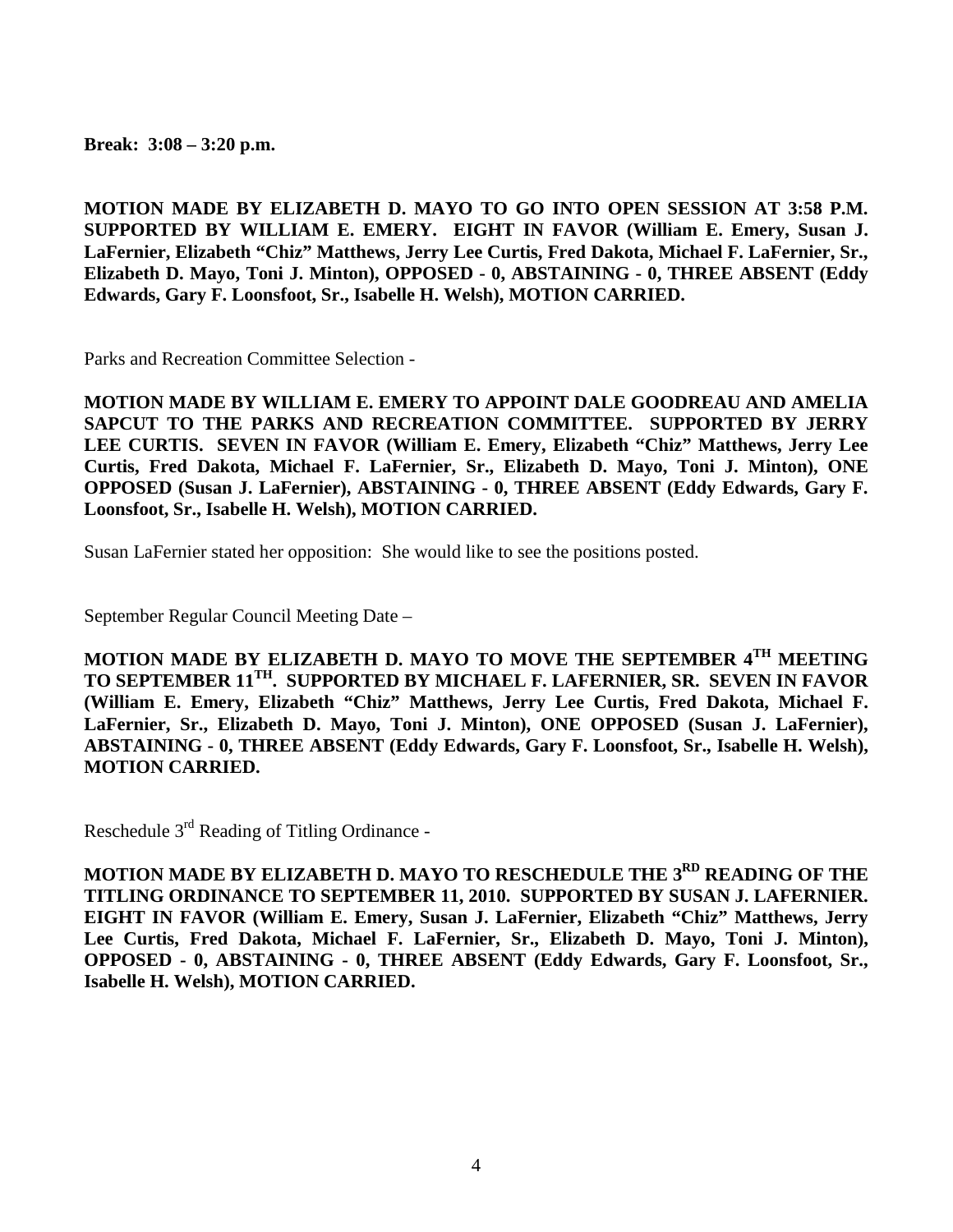**Break: 3:08 – 3:20 p.m.**

**MOTION MADE BY ELIZABETH D. MAYO TO GO INTO OPEN SESSION AT 3:58 P.M. SUPPORTED BY WILLIAM E. EMERY. EIGHT IN FAVOR (William E. Emery, Susan J. LaFernier, Elizabeth "Chiz" Matthews, Jerry Lee Curtis, Fred Dakota, Michael F. LaFernier, Sr., Elizabeth D. Mayo, Toni J. Minton), OPPOSED - 0, ABSTAINING - 0, THREE ABSENT (Eddy Edwards, Gary F. Loonsfoot, Sr., Isabelle H. Welsh), MOTION CARRIED.**

Parks and Recreation Committee Selection -

**MOTION MADE BY WILLIAM E. EMERY TO APPOINT DALE GOODREAU AND AMELIA SAPCUT TO THE PARKS AND RECREATION COMMITTEE. SUPPORTED BY JERRY LEE CURTIS. SEVEN IN FAVOR (William E. Emery, Elizabeth "Chiz" Matthews, Jerry Lee Curtis, Fred Dakota, Michael F. LaFernier, Sr., Elizabeth D. Mayo, Toni J. Minton), ONE OPPOSED (Susan J. LaFernier), ABSTAINING - 0, THREE ABSENT (Eddy Edwards, Gary F. Loonsfoot, Sr., Isabelle H. Welsh), MOTION CARRIED.**

Susan LaFernier stated her opposition: She would like to see the positions posted.

September Regular Council Meeting Date –

**MOTION MADE BY ELIZABETH D. MAYO TO MOVE THE SEPTEMBER 4TH MEETING TO SEPTEMBER 11TH. SUPPORTED BY MICHAEL F. LAFERNIER, SR. SEVEN IN FAVOR (William E. Emery, Elizabeth "Chiz" Matthews, Jerry Lee Curtis, Fred Dakota, Michael F. LaFernier, Sr., Elizabeth D. Mayo, Toni J. Minton), ONE OPPOSED (Susan J. LaFernier), ABSTAINING - 0, THREE ABSENT (Eddy Edwards, Gary F. Loonsfoot, Sr., Isabelle H. Welsh), MOTION CARRIED.**

Reschedule 3rd Reading of Titling Ordinance -

**MOTION MADE BY ELIZABETH D. MAYO TO RESCHEDULE THE 3RD READING OF THE TITLING ORDINANCE TO SEPTEMBER 11, 2010. SUPPORTED BY SUSAN J. LAFERNIER. EIGHT IN FAVOR (William E. Emery, Susan J. LaFernier, Elizabeth "Chiz" Matthews, Jerry Lee Curtis, Fred Dakota, Michael F. LaFernier, Sr., Elizabeth D. Mayo, Toni J. Minton), OPPOSED - 0, ABSTAINING - 0, THREE ABSENT (Eddy Edwards, Gary F. Loonsfoot, Sr., Isabelle H. Welsh), MOTION CARRIED.**